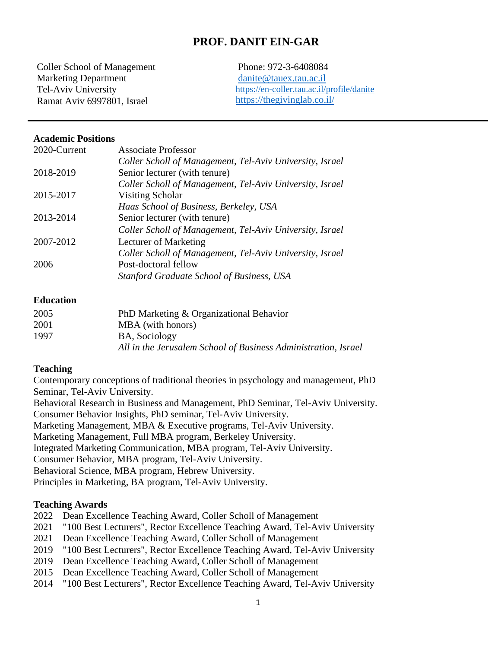# **PROF. DANIT EIN-GAR**

Coller School of Management Marketing Department Tel-Aviv University Ramat Aviv 6997801, Israel

Phone: 972-3-6408084 [danite@tauex.tau.ac.il](mailto:danite@tauex.tau.ac.il) <https://en-coller.tau.ac.il/profile/danite> <https://thegivinglab.co.il/>

#### **Academic Positions**

| 2020-Current | <b>Associate Professor</b>                               |
|--------------|----------------------------------------------------------|
|              | Coller Scholl of Management, Tel-Aviv University, Israel |
| 2018-2019    | Senior lecturer (with tenure)                            |
|              | Coller Scholl of Management, Tel-Aviv University, Israel |
| 2015-2017    | Visiting Scholar                                         |
|              | Haas School of Business, Berkeley, USA                   |
| 2013-2014    | Senior lecturer (with tenure)                            |
|              | Coller Scholl of Management, Tel-Aviv University, Israel |
| 2007-2012    | Lecturer of Marketing                                    |
|              | Coller Scholl of Management, Tel-Aviv University, Israel |
| 2006         | Post-doctoral fellow                                     |
|              | <b>Stanford Graduate School of Business, USA</b>         |

### **Education**

| 2005 | PhD Marketing & Organizational Behavior                        |
|------|----------------------------------------------------------------|
| 2001 | MBA (with honors)                                              |
| 1997 | <b>BA, Sociology</b>                                           |
|      | All in the Jerusalem School of Business Administration, Israel |

#### **Teaching**

Contemporary conceptions of traditional theories in psychology and management, PhD Seminar, Tel-Aviv University.

Behavioral Research in Business and Management, PhD Seminar, Tel-Aviv University. Consumer Behavior Insights, PhD seminar, Tel-Aviv University. Marketing Management, MBA & Executive programs, Tel-Aviv University. Marketing Management, Full MBA program, Berkeley University.

Integrated Marketing Communication, MBA program, Tel-Aviv University.

Consumer Behavior, MBA program, Tel-Aviv University.

Behavioral Science, MBA program, Hebrew University.

Principles in Marketing, BA program, Tel-Aviv University.

#### **Teaching Awards**

- 2022 Dean Excellence Teaching Award, Coller Scholl of Management
- 2021 "100 Best Lecturers", Rector Excellence Teaching Award, Tel-Aviv University
- 2021 Dean Excellence Teaching Award, Coller Scholl of Management
- 2019 "100 Best Lecturers", Rector Excellence Teaching Award, Tel-Aviv University
- 2019 Dean Excellence Teaching Award, Coller Scholl of Management
- 2015 Dean Excellence Teaching Award, Coller Scholl of Management
- 2014 "100 Best Lecturers", Rector Excellence Teaching Award, Tel-Aviv University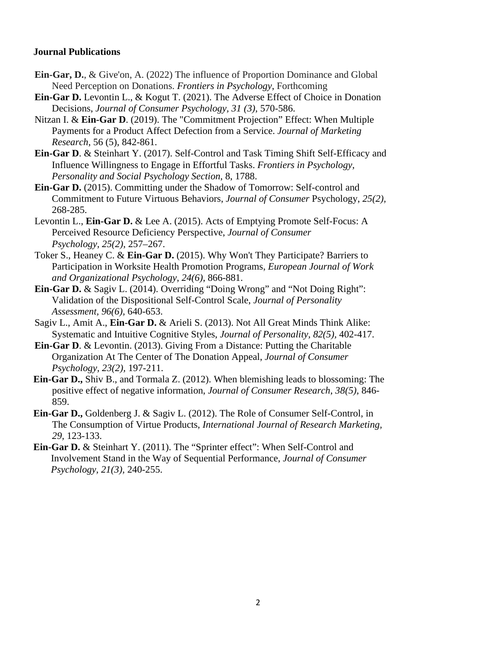# **Journal Publications**

- **Ein-Gar, D.**, & Give'on, A. (2022) The influence of Proportion Dominance and Global Need Perception on Donations. *Frontiers in Psychology*, Forthcoming
- **Ein-Gar D.** Levontin L., & Kogut T. (2021). The Adverse Effect of Choice in Donation Decisions, *Journal of Consumer Psychology, 31 (3)*, 570-586.
- Nitzan I. & **Ein-Gar D**. (2019). The "Commitment Projection" Effect: When Multiple Payments for a Product Affect Defection from a Service. *Journal of Marketing Research*, 56 (5), 842-861.
- **Ein-Gar D**. & Steinhart Y. (2017). Self-Control and Task Timing Shift Self-Efficacy and Influence Willingness to Engage in Effortful Tasks. *Frontiers in Psychology, Personality and Social Psychology Section*, 8, 1788.
- **Ein-Gar D.** (2015). Committing under the Shadow of Tomorrow: Self-control and Commitment to Future Virtuous Behaviors, *Journal of Consumer* Psychology, *25(2),* 268-285.
- Levontin L., **Ein-Gar D.** & Lee A. (2015). Acts of Emptying Promote Self-Focus: A Perceived Resource Deficiency Perspective, *Journal of Consumer Psychology, 25(2)*, 257–267.
- Toker S., Heaney C. & **Ein-Gar D.** (2015). Why Won't They Participate? Barriers to Participation in Worksite Health Promotion Programs, *European Journal of Work and Organizational Psychology*, *24(6)*, 866-881.
- **Ein-Gar D.** & Sagiv L. (2014). Overriding "Doing Wrong" and "Not Doing Right": Validation of the Dispositional Self-Control Scale, *Journal of Personality Assessment, 96(6),* 640-653.
- Sagiv L., Amit A., **Ein-Gar D.** & Arieli S. (2013). Not All Great Minds Think Alike: Systematic and Intuitive Cognitive Styles, *Journal of Personality, 82(5),* 402-417.
- **Ein-Gar D**. & Levontin. (2013). Giving From a Distance: Putting the Charitable Organization At The Center of The Donation Appeal, *Journal of Consumer Psychology, 23(2),* 197-211.
- **Ein-Gar D.,** Shiv B., and Tormala Z. (2012). When blemishing leads to blossoming: The positive effect of negative information, *Journal of Consumer Research*, *38(5),* 846- 859.
- **Ein-Gar D.,** Goldenberg J. & Sagiv L. (2012). The Role of Consumer Self-Control, in The Consumption of Virtue Products, *International Journal of Research Marketing, 29,* 123-133.
- **Ein-Gar D.** & Steinhart Y. (2011). The "Sprinter effect": When Self-Control and Involvement Stand in the Way of Sequential Performance, *Journal of Consumer Psychology, 21(3),* 240-255.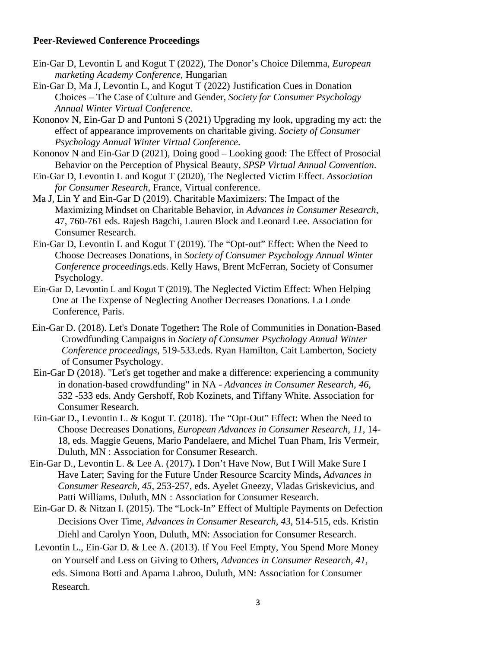### **Peer-Reviewed Conference Proceedings**

- Ein-Gar D, Levontin L and Kogut T (2022), The Donor's Choice Dilemma, *European marketing Academy Conference*, Hungarian
- Ein-Gar D, Ma J, Levontin L, and Kogut T (2022) Justification Cues in Donation Choices – The Case of Culture and Gender, *Society for Consumer Psychology Annual Winter Virtual Conference*.
- Kononov N, Ein-Gar D and Puntoni S (2021) Upgrading my look, upgrading my act: the effect of appearance improvements on charitable giving. *Society of Consumer Psychology Annual Winter Virtual Conference*.
- Kononov N and Ein-Gar D (2021), Doing good Looking good: The Effect of Prosocial Behavior on the Perception of Physical Beauty, *SPSP Virtual Annual Convention*.
- Ein-Gar D, Levontin L and Kogut T (2020), The Neglected Victim Effect. *Association for Consumer Research*, France, Virtual conference.
- Ma J, Lin Y and Ein-Gar D (2019). Charitable Maximizers: The Impact of the Maximizing Mindset on Charitable Behavior, in *Advances in Consumer Research*, 47, 760-761 eds. Rajesh Bagchi, Lauren Block and Leonard Lee. Association for Consumer Research.
- Ein-Gar D, Levontin L and Kogut T (2019). The "Opt-out" Effect: When the Need to Choose Decreases Donations, in *Society of Consumer Psychology Annual Winter Conference proceedings*.eds. Kelly Haws, Brent McFerran, Society of Consumer Psychology.
- Ein-Gar D, Levontin L and Kogut T (2019), The Neglected Victim Effect: When Helping One at The Expense of Neglecting Another Decreases Donations. La Londe Conference, Paris.
- Ein-Gar D. (2018). Let's Donate Together**:** The Role of Communities in Donation-Based Crowdfunding Campaigns in *Society of Consumer Psychology Annual Winter Conference proceedings,* 519-533.eds. Ryan Hamilton, Cait Lamberton, Society of Consumer Psychology.
- Ein-Gar D (2018). "Let's get together and make a difference: experiencing a community in donation-based crowdfunding" in NA - *Advances in Consumer Research*, *46*, 532 -533 eds. Andy Gershoff, Rob Kozinets, and Tiffany White. Association for Consumer Research.
- Ein-Gar D., Levontin L. & Kogut T. (2018). The "Opt-Out" Effect: When the Need to Choose Decreases Donations, *European Advances in Consumer Research, 11,* 14- 18, eds. Maggie Geuens, Mario Pandelaere, and Michel Tuan Pham, Iris Vermeir, Duluth, MN : Association for Consumer Research.
- Ein-Gar D., Levontin L. & Lee A. (2017)**.** I Don't Have Now, But I Will Make Sure I Have Later; Saving for the Future Under Resource Scarcity Minds**,** *Advances in Consumer Research*, *45*, 253-257, eds. Ayelet Gneezy, Vladas Griskevicius, and Patti Williams, Duluth, MN : Association for Consumer Research.
- Ein-Gar D. & Nitzan I. (2015). The "Lock-In" Effect of Multiple Payments on Defection Decisions Over Time, *Advances in Consumer Research, 43*, 514-515, eds. Kristin Diehl and Carolyn Yoon, Duluth, MN: Association for Consumer Research.
- Levontin L., Ein-Gar D. & Lee A. (2013). If You Feel Empty, You Spend More Money on Yourself and Less on Giving to Others*, Advances in Consumer Research, 41*, eds. Simona Botti and Aparna Labroo, Duluth, MN: Association for Consumer Research.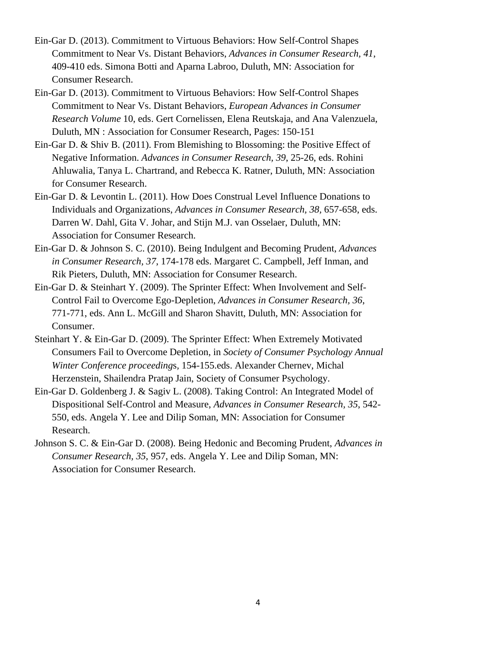- Ein-Gar D. (2013). Commitment to Virtuous Behaviors: How Self-Control Shapes Commitment to Near Vs. Distant Behaviors, *Advances in Consumer Research, 41*, 409-410 eds. Simona Botti and Aparna Labroo, Duluth, MN: Association for Consumer Research.
- Ein-Gar D. (2013). Commitment to Virtuous Behaviors: How Self-Control Shapes Commitment to Near Vs. Distant Behaviors, *European Advances in Consumer Research Volume* 10, eds. Gert Cornelissen, Elena Reutskaja, and Ana Valenzuela, Duluth, MN : Association for Consumer Research, Pages: 150-151
- Ein-Gar D. & Shiv B. (2011). From Blemishing to Blossoming: the Positive Effect of Negative Information. *Advances in Consumer Research, 39*, 25-26, eds. Rohini Ahluwalia, Tanya L. Chartrand, and Rebecca K. Ratner, Duluth, MN: Association for Consumer Research.
- Ein-Gar D. & Levontin L. (2011). How Does Construal Level Influence Donations to Individuals and Organizations, *Advances in Consumer Research, 38,* 657-658, eds. Darren W. Dahl, Gita V. Johar, and Stijn M.J. van Osselaer, Duluth, MN: Association for Consumer Research.
- Ein-Gar D. & Johnson S. C. (2010). Being Indulgent and Becoming Prudent, *Advances in Consumer Research, 37*, 174-178 eds. Margaret C. Campbell, Jeff Inman, and Rik Pieters, Duluth, MN: Association for Consumer Research.
- Ein-Gar D. & Steinhart Y. (2009). The Sprinter Effect: When Involvement and Self-Control Fail to Overcome Ego-Depletion, *Advances in Consumer Research, 36*, 771-771, eds. Ann L. McGill and Sharon Shavitt, Duluth, MN: Association for Consumer.
- Steinhart Y. & Ein-Gar D. (2009). The Sprinter Effect: When Extremely Motivated Consumers Fail to Overcome Depletion, in *Society of Consumer Psychology Annual Winter Conference proceeding*s*,* 154-155.eds. Alexander Chernev, Michal Herzenstein, Shailendra Pratap Jain, Society of Consumer Psychology.
- Ein-Gar D. Goldenberg J. & Sagiv L. (2008). Taking Control: An Integrated Model of Dispositional Self-Control and Measure, *Advances in Consumer Research, 35*, 542- 550, eds. Angela Y. Lee and Dilip Soman, MN: Association for Consumer Research.
- Johnson S. C. & Ein-Gar D. (2008). Being Hedonic and Becoming Prudent, *Advances in Consumer Research, 35*, 957, eds. Angela Y. Lee and Dilip Soman, MN: Association for Consumer Research.